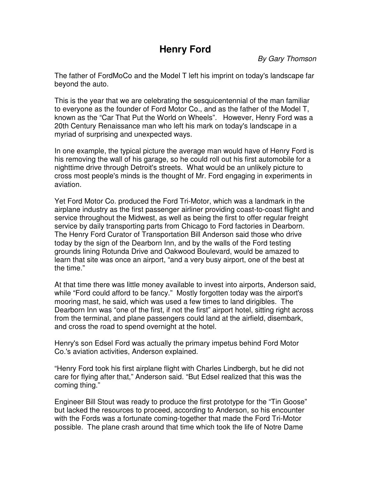## **Henry Ford**

By Gary Thomson

The father of FordMoCo and the Model T left his imprint on today's landscape far beyond the auto.

This is the year that we are celebrating the sesquicentennial of the man familiar to everyone as the founder of Ford Motor Co., and as the father of the Model T, known as the "Car That Put the World on Wheels". However, Henry Ford was a 20th Century Renaissance man who left his mark on today's landscape in a myriad of surprising and unexpected ways.

In one example, the typical picture the average man would have of Henry Ford is his removing the wall of his garage, so he could roll out his first automobile for a nighttime drive through Detroit's streets. What would be an unlikely picture to cross most people's minds is the thought of Mr. Ford engaging in experiments in aviation.

Yet Ford Motor Co. produced the Ford Tri-Motor, which was a landmark in the airplane industry as the first passenger airliner providing coast-to-coast flight and service throughout the Midwest, as well as being the first to offer regular freight service by daily transporting parts from Chicago to Ford factories in Dearborn. The Henry Ford Curator of Transportation Bill Anderson said those who drive today by the sign of the Dearborn Inn, and by the walls of the Ford testing grounds lining Rotunda Drive and Oakwood Boulevard, would be amazed to learn that site was once an airport, "and a very busy airport, one of the best at the time."

At that time there was little money available to invest into airports, Anderson said, while "Ford could afford to be fancy." Mostly forgotten today was the airport's mooring mast, he said, which was used a few times to land dirigibles. The Dearborn Inn was "one of the first, if not the first" airport hotel, sitting right across from the terminal, and plane passengers could land at the airfield, disembark, and cross the road to spend overnight at the hotel.

Henry's son Edsel Ford was actually the primary impetus behind Ford Motor Co.'s aviation activities, Anderson explained.

"Henry Ford took his first airplane flight with Charles Lindbergh, but he did not care for flying after that," Anderson said. "But Edsel realized that this was the coming thing."

Engineer Bill Stout was ready to produce the first prototype for the "Tin Goose" but lacked the resources to proceed, according to Anderson, so his encounter with the Fords was a fortunate coming-together that made the Ford Tri-Motor possible. The plane crash around that time which took the life of Notre Dame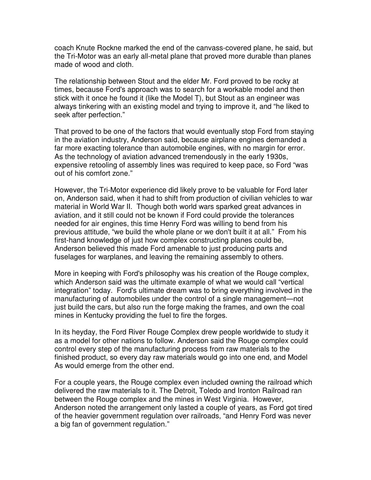coach Knute Rockne marked the end of the canvass-covered plane, he said, but the Tri-Motor was an early all-metal plane that proved more durable than planes made of wood and cloth.

The relationship between Stout and the elder Mr. Ford proved to be rocky at times, because Ford's approach was to search for a workable model and then stick with it once he found it (like the Model T), but Stout as an engineer was always tinkering with an existing model and trying to improve it, and "he liked to seek after perfection."

That proved to be one of the factors that would eventually stop Ford from staying in the aviation industry, Anderson said, because airplane engines demanded a far more exacting tolerance than automobile engines, with no margin for error. As the technology of aviation advanced tremendously in the early 1930s, expensive retooling of assembly lines was required to keep pace, so Ford "was out of his comfort zone."

However, the Tri-Motor experience did likely prove to be valuable for Ford later on, Anderson said, when it had to shift from production of civilian vehicles to war material in World War II. Though both world wars sparked great advances in aviation, and it still could not be known if Ford could provide the tolerances needed for air engines, this time Henry Ford was willing to bend from his previous attitude, "we build the whole plane or we don't built it at all." From his first-hand knowledge of just how complex constructing planes could be, Anderson believed this made Ford amenable to just producing parts and fuselages for warplanes, and leaving the remaining assembly to others.

More in keeping with Ford's philosophy was his creation of the Rouge complex, which Anderson said was the ultimate example of what we would call "vertical integration" today. Ford's ultimate dream was to bring everything involved in the manufacturing of automobiles under the control of a single management—not just build the cars, but also run the forge making the frames, and own the coal mines in Kentucky providing the fuel to fire the forges.

In its heyday, the Ford River Rouge Complex drew people worldwide to study it as a model for other nations to follow. Anderson said the Rouge complex could control every step of the manufacturing process from raw materials to the finished product, so every day raw materials would go into one end, and Model As would emerge from the other end.

For a couple years, the Rouge complex even included owning the railroad which delivered the raw materials to it. The Detroit, Toledo and Ironton Railroad ran between the Rouge complex and the mines in West Virginia. However, Anderson noted the arrangement only lasted a couple of years, as Ford got tired of the heavier government regulation over railroads, "and Henry Ford was never a big fan of government regulation."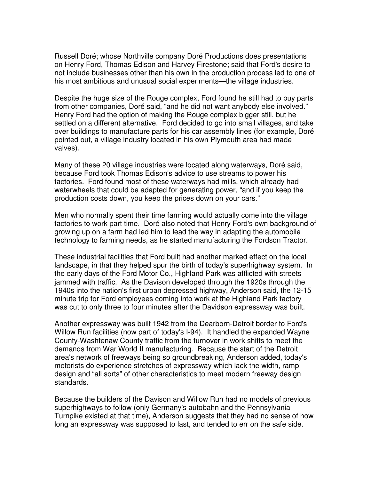Russell Doré; whose Northville company Doré Productions does presentations on Henry Ford, Thomas Edison and Harvey Firestone; said that Ford's desire to not include businesses other than his own in the production process led to one of his most ambitious and unusual social experiments—the village industries.

Despite the huge size of the Rouge complex, Ford found he still had to buy parts from other companies, Doré said, "and he did not want anybody else involved." Henry Ford had the option of making the Rouge complex bigger still, but he settled on a different alternative. Ford decided to go into small villages, and take over buildings to manufacture parts for his car assembly lines (for example, Doré pointed out, a village industry located in his own Plymouth area had made valves).

Many of these 20 village industries were located along waterways, Doré said, because Ford took Thomas Edison's advice to use streams to power his factories. Ford found most of these waterways had mills, which already had waterwheels that could be adapted for generating power, "and if you keep the production costs down, you keep the prices down on your cars."

Men who normally spent their time farming would actually come into the village factories to work part time. Doré also noted that Henry Ford's own background of growing up on a farm had led him to lead the way in adapting the automobile technology to farming needs, as he started manufacturing the Fordson Tractor.

These industrial facilities that Ford built had another marked effect on the local landscape, in that they helped spur the birth of today's superhighway system. In the early days of the Ford Motor Co., Highland Park was afflicted with streets jammed with traffic. As the Davison developed through the 1920s through the 1940s into the nation's first urban depressed highway, Anderson said, the 12-15 minute trip for Ford employees coming into work at the Highland Park factory was cut to only three to four minutes after the Davidson expressway was built.

Another expressway was built 1942 from the Dearborn-Detroit border to Ford's Willow Run facilities (now part of today's I-94). It handled the expanded Wayne County-Washtenaw County traffic from the turnover in work shifts to meet the demands from War World II manufacturing. Because the start of the Detroit area's network of freeways being so groundbreaking, Anderson added, today's motorists do experience stretches of expressway which lack the width, ramp design and "all sorts" of other characteristics to meet modern freeway design standards.

Because the builders of the Davison and Willow Run had no models of previous superhighways to follow (only Germany's autobahn and the Pennsylvania Turnpike existed at that time), Anderson suggests that they had no sense of how long an expressway was supposed to last, and tended to err on the safe side.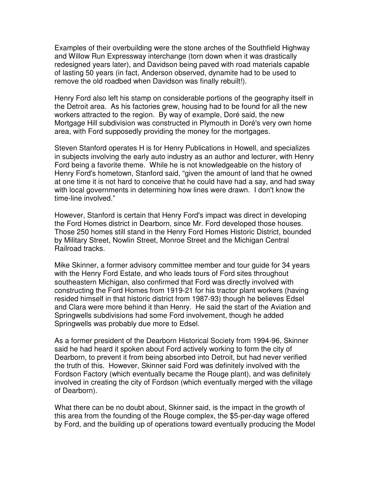Examples of their overbuilding were the stone arches of the Southfield Highway and Willow Run Expressway interchange (torn down when it was drastically redesigned years later), and Davidson being paved with road materials capable of lasting 50 years (in fact, Anderson observed, dynamite had to be used to remove the old roadbed when Davidson was finally rebuilt!).

Henry Ford also left his stamp on considerable portions of the geography itself in the Detroit area. As his factories grew, housing had to be found for all the new workers attracted to the region. By way of example, Doré said, the new Mortgage Hill subdivision was constructed in Plymouth in Doré's very own home area, with Ford supposedly providing the money for the mortgages.

Steven Stanford operates H is for Henry Publications in Howell, and specializes in subjects involving the early auto industry as an author and lecturer, with Henry Ford being a favorite theme. While he is not knowledgeable on the history of Henry Ford's hometown, Stanford said, "given the amount of land that he owned at one time it is not hard to conceive that he could have had a say, and had sway with local governments in determining how lines were drawn. I don't know the time-line involved."

However, Stanford is certain that Henry Ford's impact was direct in developing the Ford Homes district in Dearborn, since Mr. Ford developed those houses. Those 250 homes still stand in the Henry Ford Homes Historic District, bounded by Military Street, Nowlin Street, Monroe Street and the Michigan Central Railroad tracks.

Mike Skinner, a former advisory committee member and tour guide for 34 years with the Henry Ford Estate, and who leads tours of Ford sites throughout southeastern Michigan, also confirmed that Ford was directly involved with constructing the Ford Homes from 1919-21 for his tractor plant workers (having resided himself in that historic district from 1987-93) though he believes Edsel and Clara were more behind it than Henry. He said the start of the Aviation and Springwells subdivisions had some Ford involvement, though he added Springwells was probably due more to Edsel.

As a former president of the Dearborn Historical Society from 1994-96, Skinner said he had heard it spoken about Ford actively working to form the city of Dearborn, to prevent it from being absorbed into Detroit, but had never verified the truth of this. However, Skinner said Ford was definitely involved with the Fordson Factory (which eventually became the Rouge plant), and was definitely involved in creating the city of Fordson (which eventually merged with the village of Dearborn).

What there can be no doubt about, Skinner said, is the impact in the growth of this area from the founding of the Rouge complex, the \$5-per-day wage offered by Ford, and the building up of operations toward eventually producing the Model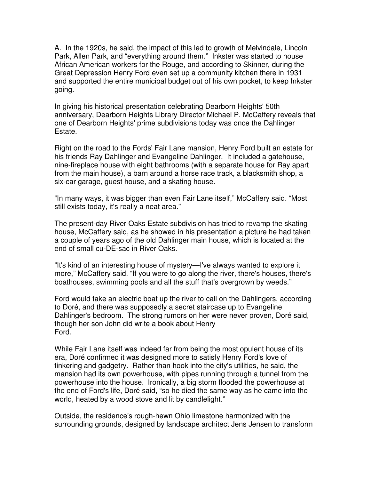A. In the 1920s, he said, the impact of this led to growth of Melvindale, Lincoln Park, Allen Park, and "everything around them." Inkster was started to house African American workers for the Rouge, and according to Skinner, during the Great Depression Henry Ford even set up a community kitchen there in 1931 and supported the entire municipal budget out of his own pocket, to keep Inkster going.

In giving his historical presentation celebrating Dearborn Heights' 50th anniversary, Dearborn Heights Library Director Michael P. McCaffery reveals that one of Dearborn Heights' prime subdivisions today was once the Dahlinger Estate.

Right on the road to the Fords' Fair Lane mansion, Henry Ford built an estate for his friends Ray Dahlinger and Evangeline Dahlinger. It included a gatehouse, nine-fireplace house with eight bathrooms (with a separate house for Ray apart from the main house), a barn around a horse race track, a blacksmith shop, a six-car garage, guest house, and a skating house.

"In many ways, it was bigger than even Fair Lane itself," McCaffery said. "Most still exists today, it's really a neat area."

The present-day River Oaks Estate subdivision has tried to revamp the skating house, McCaffery said, as he showed in his presentation a picture he had taken a couple of years ago of the old Dahlinger main house, which is located at the end of small cu-DE-sac in River Oaks.

"It's kind of an interesting house of mystery—I've always wanted to explore it more," McCaffery said. "If you were to go along the river, there's houses, there's boathouses, swimming pools and all the stuff that's overgrown by weeds."

Ford would take an electric boat up the river to call on the Dahlingers, according to Doré, and there was supposedly a secret staircase up to Evangeline Dahlinger's bedroom. The strong rumors on her were never proven, Doré said, though her son John did write a book about Henry Ford.

While Fair Lane itself was indeed far from being the most opulent house of its era, Doré confirmed it was designed more to satisfy Henry Ford's love of tinkering and gadgetry. Rather than hook into the city's utilities, he said, the mansion had its own powerhouse, with pipes running through a tunnel from the powerhouse into the house. Ironically, a big storm flooded the powerhouse at the end of Ford's life, Doré said, "so he died the same way as he came into the world, heated by a wood stove and lit by candlelight."

Outside, the residence's rough-hewn Ohio limestone harmonized with the surrounding grounds, designed by landscape architect Jens Jensen to transform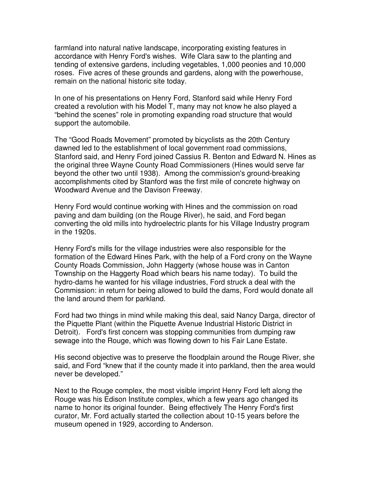farmland into natural native landscape, incorporating existing features in accordance with Henry Ford's wishes. Wife Clara saw to the planting and tending of extensive gardens, including vegetables, 1,000 peonies and 10,000 roses. Five acres of these grounds and gardens, along with the powerhouse, remain on the national historic site today.

In one of his presentations on Henry Ford, Stanford said while Henry Ford created a revolution with his Model T, many may not know he also played a "behind the scenes" role in promoting expanding road structure that would support the automobile.

The "Good Roads Movement" promoted by bicyclists as the 20th Century dawned led to the establishment of local government road commissions, Stanford said, and Henry Ford joined Cassius R. Benton and Edward N. Hines as the original three Wayne County Road Commissioners (Hines would serve far beyond the other two until 1938). Among the commission's ground-breaking accomplishments cited by Stanford was the first mile of concrete highway on Woodward Avenue and the Davison Freeway.

Henry Ford would continue working with Hines and the commission on road paving and dam building (on the Rouge River), he said, and Ford began converting the old mills into hydroelectric plants for his Village Industry program in the 1920s.

Henry Ford's mills for the village industries were also responsible for the formation of the Edward Hines Park, with the help of a Ford crony on the Wayne County Roads Commission, John Haggerty (whose house was in Canton Township on the Haggerty Road which bears his name today). To build the hydro-dams he wanted for his village industries, Ford struck a deal with the Commission: in return for being allowed to build the dams, Ford would donate all the land around them for parkland.

Ford had two things in mind while making this deal, said Nancy Darga, director of the Piquette Plant (within the Piquette Avenue Industrial Historic District in Detroit). Ford's first concern was stopping communities from dumping raw sewage into the Rouge, which was flowing down to his Fair Lane Estate.

His second objective was to preserve the floodplain around the Rouge River, she said, and Ford "knew that if the county made it into parkland, then the area would never be developed."

Next to the Rouge complex, the most visible imprint Henry Ford left along the Rouge was his Edison Institute complex, which a few years ago changed its name to honor its original founder. Being effectively The Henry Ford's first curator, Mr. Ford actually started the collection about 10-15 years before the museum opened in 1929, according to Anderson.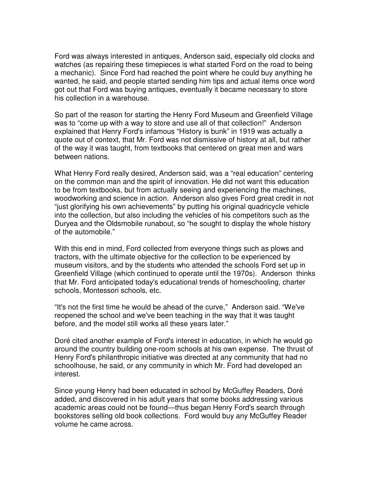Ford was always interested in antiques, Anderson said, especially old clocks and watches (as repairing these timepieces is what started Ford on the road to being a mechanic). Since Ford had reached the point where he could buy anything he wanted, he said, and people started sending him tips and actual items once word got out that Ford was buying antiques, eventually it became necessary to store his collection in a warehouse.

So part of the reason for starting the Henry Ford Museum and Greenfield Village was to "come up with a way to store and use all of that collection!" Anderson explained that Henry Ford's infamous "History is bunk" in 1919 was actually a quote out of context, that Mr. Ford was not dismissive of history at all, but rather of the way it was taught, from textbooks that centered on great men and wars between nations.

What Henry Ford really desired, Anderson said, was a "real education" centering on the common man and the spirit of innovation. He did not want this education to be from textbooks, but from actually seeing and experiencing the machines, woodworking and science in action. Anderson also gives Ford great credit in not "just glorifying his own achievements" by putting his original quadricycle vehicle into the collection, but also including the vehicles of his competitors such as the Duryea and the Oldsmobile runabout, so "he sought to display the whole history of the automobile."

With this end in mind, Ford collected from everyone things such as plows and tractors, with the ultimate objective for the collection to be experienced by museum visitors, and by the students who attended the schools Ford set up in Greenfield Village (which continued to operate until the 1970s). Anderson thinks that Mr. Ford anticipated today's educational trends of homeschooling, charter schools, Montessori schools, etc.

"It's not the first time he would be ahead of the curve," Anderson said. "We've reopened the school and we've been teaching in the way that it was taught before, and the model still works all these years later."

Doré cited another example of Ford's interest in education, in which he would go around the country building one-room schools at his own expense. The thrust of Henry Ford's philanthropic initiative was directed at any community that had no schoolhouse, he said, or any community in which Mr. Ford had developed an interest.

Since young Henry had been educated in school by McGuffey Readers, Doré added, and discovered in his adult years that some books addressing various academic areas could not be found—thus began Henry Ford's search through bookstores selling old book collections. Ford would buy any McGuffey Reader volume he came across.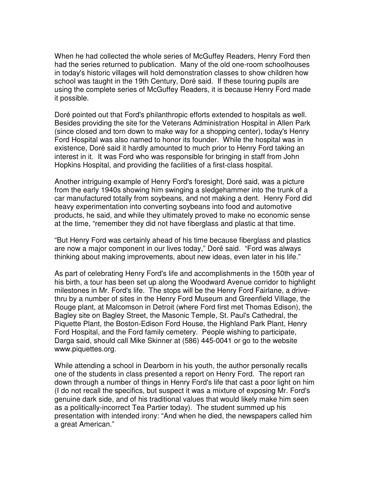When he had collected the whole series of McGuffey Readers, Henry Ford then had the series returned to publication. Many of the old one-room schoolhouses in today's historic villages will hold demonstration classes to show children how school was taught in the 19th Century, Doré said. If these touring pupils are using the complete series of McGuffey Readers, it is because Henry Ford made it possible.

Doré pointed out that Ford's philanthropic efforts extended to hospitals as well. Besides providing the site for the Veterans Administration Hospital in Allen Park (since closed and torn down to make way for a shopping center), today's Henry Ford Hospital was also named to honor its founder. While the hospital was in existence, Doré said it hardly amounted to much prior to Henry Ford taking an interest in it. It was Ford who was responsible for bringing in staff from John Hopkins Hospital, and providing the facilities of a first-class hospital.

Another intriguing example of Henry Ford's foresight, Doré said, was a picture from the early 1940s showing him swinging a sledgehammer into the trunk of a car manufactured totally from soybeans, and not making a dent. Henry Ford did heavy experimentation into converting soybeans into food and automotive products, he said, and while they ultimately proved to make no economic sense at the time, "remember they did not have fiberglass and plastic at that time.

"But Henry Ford was certainly ahead of his time because fiberglass and plastics are now a major component in our lives today," Doré said. "Ford was always thinking about making improvements, about new ideas, even later in his life."

As part of celebrating Henry Ford's life and accomplishments in the 150th year of his birth, a tour has been set up along the Woodward Avenue corridor to highlight milestones in Mr. Ford's life. The stops will be the Henry Ford Fairlane, a drivethru by a number of sites in the Henry Ford Museum and Greenfield Village, the Rouge plant, at Malcomson in Detroit (where Ford first met Thomas Edison), the Bagley site on Bagley Street, the Masonic Temple, St. Paul's Cathedral, the Piquette Plant, the Boston-Edison Ford House, the Highland Park Plant, Henry Ford Hospital, and the Ford family cemetery. People wishing to participate, Darga said, should call Mike Skinner at (586) 445-0041 or go to the website www.piquettes.org.

While attending a school in Dearborn in his youth, the author personally recalls one of the students in class presented a report on Henry Ford. The report ran down through a number of things in Henry Ford's life that cast a poor light on him (I do not recall the specifics, but suspect it was a mixture of exposing Mr. Ford's genuine dark side, and of his traditional values that would likely make him seen as a politically-incorrect Tea Partier today). The student summed up his presentation with intended irony: "And when he died, the newspapers called him a great American."